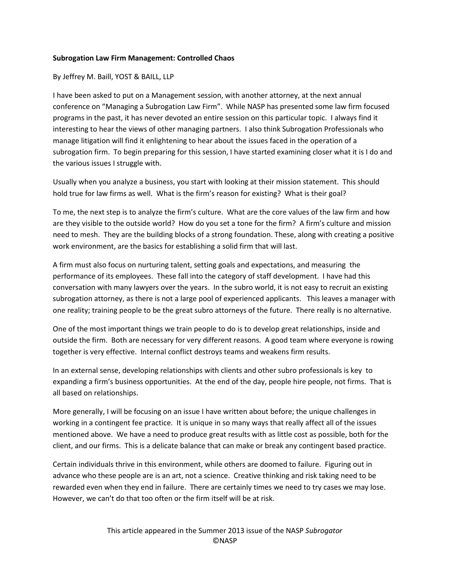## **Subrogation Law Firm Management: Controlled Chaos**

## By Jeffrey M. Baill, YOST & BAILL, LLP

I have been asked to put on a Management session, with another attorney, at the next annual conference on "Managing a Subrogation Law Firm". While NASP has presented some law firm focused programs in the past, it has never devoted an entire session on this particular topic. I always find it interesting to hear the views of other managing partners. I also think Subrogation Professionals who manage litigation will find it enlightening to hear about the issues faced in the operation of a subrogation firm. To begin preparing for this session, I have started examining closer what it is I do and the various issues I struggle with.

Usually when you analyze a business, you start with looking at their mission statement. This should hold true for law firms as well. What is the firm's reason for existing? What is their goal?

To me, the next step is to analyze the firm's culture. What are the core values of the law firm and how are they visible to the outside world? How do you set a tone for the firm? A firm's culture and mission need to mesh. They are the building blocks of a strong foundation. These, along with creating a positive work environment, are the basics for establishing a solid firm that will last.

A firm must also focus on nurturing talent, setting goals and expectations, and measuring the performance of its employees. These fall into the category of staff development. I have had this conversation with many lawyers over the years. In the subro world, it is not easy to recruit an existing subrogation attorney, as there is not a large pool of experienced applicants. This leaves a manager with one reality; training people to be the great subro attorneys of the future. There really is no alternative.

One of the most important things we train people to do is to develop great relationships, inside and outside the firm. Both are necessary for very different reasons. A good team where everyone is rowing together is very effective. Internal conflict destroys teams and weakens firm results.

In an external sense, developing relationships with clients and other subro professionals is key to expanding a firm's business opportunities. At the end of the day, people hire people, not firms. That is all based on relationships.

More generally, I will be focusing on an issue I have written about before; the unique challenges in working in a contingent fee practice. It is unique in so many ways that really affect all of the issues mentioned above. We have a need to produce great results with as little cost as possible, both for the client, and our firms. This is a delicate balance that can make or break any contingent based practice.

Certain individuals thrive in this environment, while others are doomed to failure. Figuring out in advance who these people are is an art, not a science. Creative thinking and risk taking need to be rewarded even when they end in failure. There are certainly times we need to try cases we may lose. However, we can't do that too often or the firm itself will be at risk.